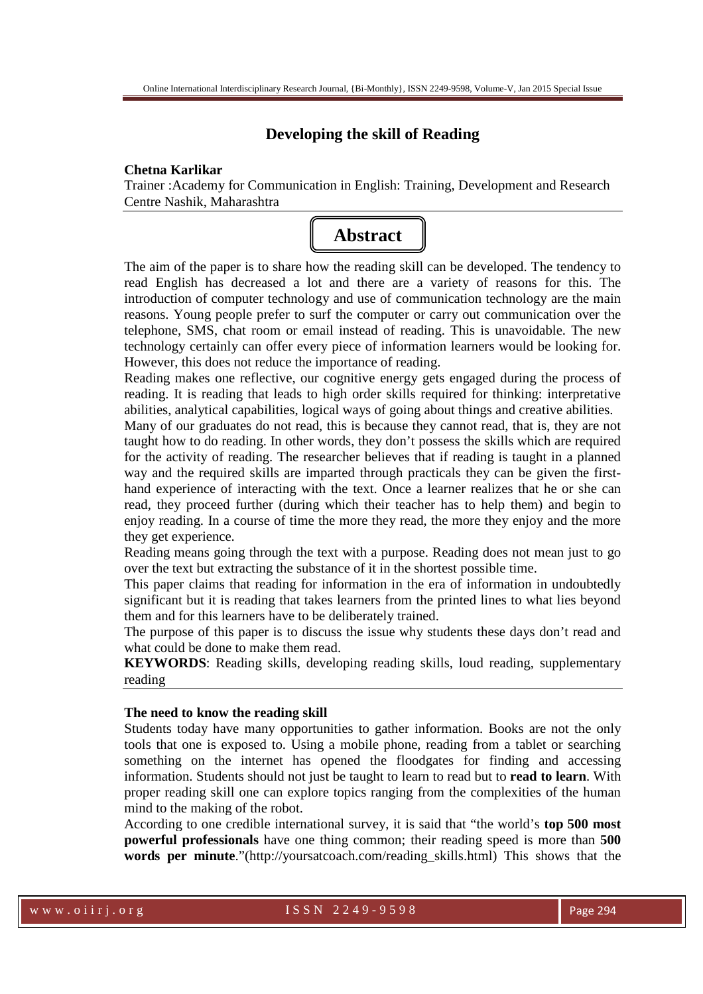# **Developing the skill of Reading**

### **Chetna Karlikar**

Trainer :Academy for Communication in English: Training, Development and Research Centre Nashik, Maharashtra



The aim of the paper is to share how the reading skill can be developed. The tendency to read English has decreased a lot and there are a variety of reasons for this. The introduction of computer technology and use of communication technology are the main reasons. Young people prefer to surf the computer or carry out communication over the telephone, SMS, chat room or email instead of reading. This is unavoidable. The new technology certainly can offer every piece of information learners would be looking for. However, this does not reduce the importance of reading.

Reading makes one reflective, our cognitive energy gets engaged during the process of reading. It is reading that leads to high order skills required for thinking: interpretative abilities, analytical capabilities, logical ways of going about things and creative abilities.

Many of our graduates do not read, this is because they cannot read, that is, they are not taught how to do reading. In other words, they don't possess the skills which are required for the activity of reading. The researcher believes that if reading is taught in a planned way and the required skills are imparted through practicals they can be given the firsthand experience of interacting with the text. Once a learner realizes that he or she can read, they proceed further (during which their teacher has to help them) and begin to enjoy reading. In a course of time the more they read, the more they enjoy and the more they get experience.

Reading means going through the text with a purpose. Reading does not mean just to go over the text but extracting the substance of it in the shortest possible time.

This paper claims that reading for information in the era of information in undoubtedly significant but it is reading that takes learners from the printed lines to what lies beyond them and for this learners have to be deliberately trained.

The purpose of this paper is to discuss the issue why students these days don't read and what could be done to make them read.

**KEYWORDS**: Reading skills, developing reading skills, loud reading, supplementary reading

### **The need to know the reading skill**

Students today have many opportunities to gather information. Books are not the only tools that one is exposed to. Using a mobile phone, reading from a tablet or searching something on the internet has opened the floodgates for finding and accessing information. Students should not just be taught to learn to read but to **read to learn**. With proper reading skill one can explore topics ranging from the complexities of the human mind to the making of the robot.

According to one credible international survey, it is said that "the world's **top 500 most powerful professionals** have one thing common; their reading speed is more than **500 words per minute**."(http://yoursatcoach.com/reading\_skills.html) This shows that the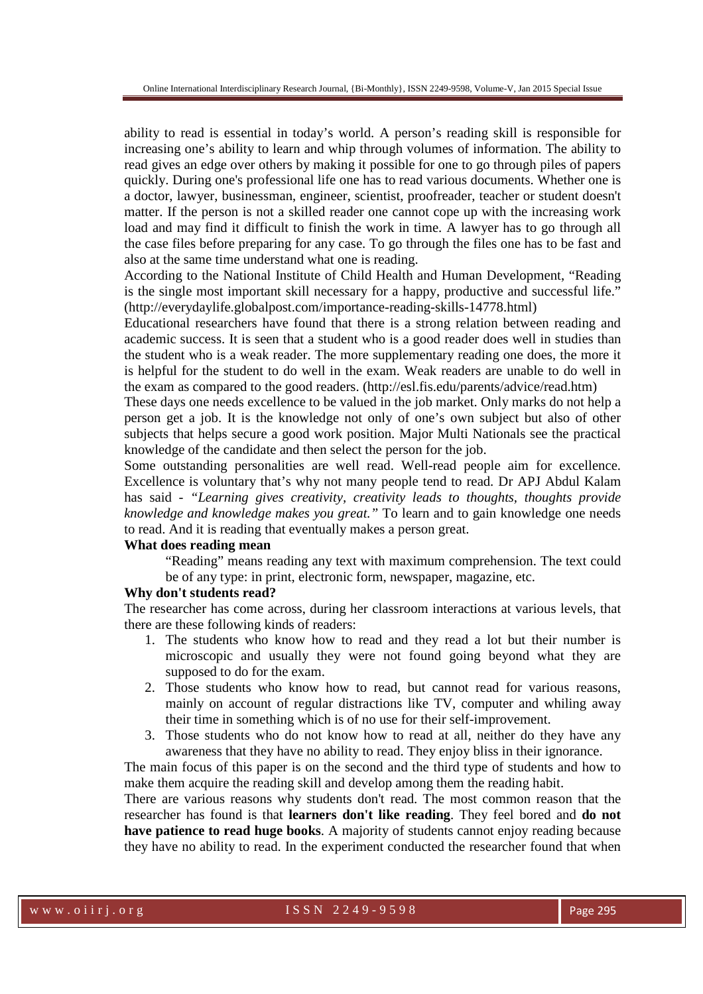ability to read is essential in today's world. A person's reading skill is responsible for increasing one's ability to learn and whip through volumes of information. The ability to read gives an edge over others by making it possible for one to go through piles of papers quickly. During one's professional life one has to read various documents. Whether one is a doctor, lawyer, businessman, engineer, scientist, proofreader, teacher or student doesn't matter. If the person is not a skilled reader one cannot cope up with the increasing work load and may find it difficult to finish the work in time. A lawyer has to go through all the case files before preparing for any case. To go through the files one has to be fast and also at the same time understand what one is reading.

According to the National Institute of Child Health and Human Development, "Reading is the single most important skill necessary for a happy, productive and successful life." (http://everydaylife.globalpost.com/importance-reading-skills-14778.html)

Educational researchers have found that there is a strong relation between reading and academic success. It is seen that a student who is a good reader does well in studies than the student who is a weak reader. The more supplementary reading one does, the more it is helpful for the student to do well in the exam. Weak readers are unable to do well in the exam as compared to the good readers. (http://esl.fis.edu/parents/advice/read.htm)

These days one needs excellence to be valued in the job market. Only marks do not help a person get a job. It is the knowledge not only of one's own subject but also of other subjects that helps secure a good work position. Major Multi Nationals see the practical knowledge of the candidate and then select the person for the job.

Some outstanding personalities are well read. Well-read people aim for excellence. Excellence is voluntary that's why not many people tend to read. Dr APJ Abdul Kalam has said - *"Learning gives creativity, creativity leads to thoughts, thoughts provide knowledge and knowledge makes you great."* To learn and to gain knowledge one needs to read. And it is reading that eventually makes a person great.

### **What does reading mean**

"Reading" means reading any text with maximum comprehension. The text could be of any type: in print, electronic form, newspaper, magazine, etc.

## **Why don't students read?**

The researcher has come across, during her classroom interactions at various levels, that there are these following kinds of readers:

- 1. The students who know how to read and they read a lot but their number is microscopic and usually they were not found going beyond what they are supposed to do for the exam.
- 2. Those students who know how to read, but cannot read for various reasons, mainly on account of regular distractions like TV, computer and whiling away their time in something which is of no use for their self-improvement.
- 3. Those students who do not know how to read at all, neither do they have any awareness that they have no ability to read. They enjoy bliss in their ignorance.

The main focus of this paper is on the second and the third type of students and how to make them acquire the reading skill and develop among them the reading habit.

There are various reasons why students don't read. The most common reason that the researcher has found is that **learners don't like reading**. They feel bored and **do not have patience to read huge books**. A majority of students cannot enjoy reading because they have no ability to read. In the experiment conducted the researcher found that when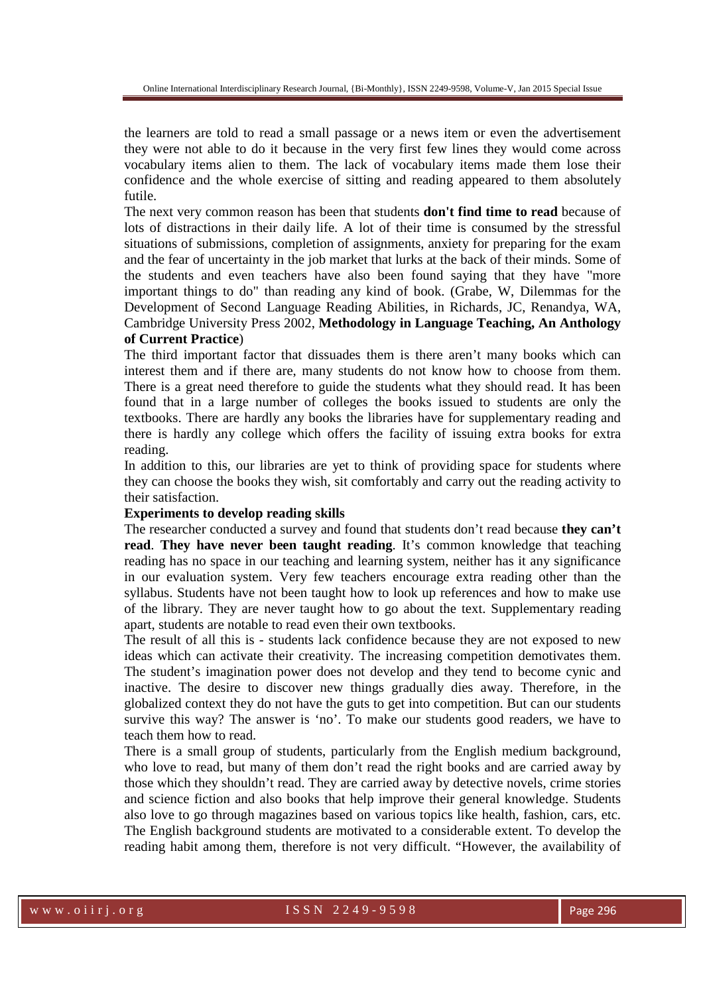the learners are told to read a small passage or a news item or even the advertisement they were not able to do it because in the very first few lines they would come across vocabulary items alien to them. The lack of vocabulary items made them lose their confidence and the whole exercise of sitting and reading appeared to them absolutely futile.

The next very common reason has been that students **don't find time to read** because of lots of distractions in their daily life. A lot of their time is consumed by the stressful situations of submissions, completion of assignments, anxiety for preparing for the exam and the fear of uncertainty in the job market that lurks at the back of their minds. Some of the students and even teachers have also been found saying that they have "more important things to do" than reading any kind of book. (Grabe, W, Dilemmas for the Development of Second Language Reading Abilities, in Richards, JC, Renandya, WA, Cambridge University Press 2002, **Methodology in Language Teaching, An Anthology of Current Practice**)

The third important factor that dissuades them is there aren't many books which can interest them and if there are, many students do not know how to choose from them. There is a great need therefore to guide the students what they should read. It has been found that in a large number of colleges the books issued to students are only the textbooks. There are hardly any books the libraries have for supplementary reading and there is hardly any college which offers the facility of issuing extra books for extra reading.

In addition to this, our libraries are yet to think of providing space for students where they can choose the books they wish, sit comfortably and carry out the reading activity to their satisfaction.

### **Experiments to develop reading skills**

The researcher conducted a survey and found that students don't read because **they can't read**. **They have never been taught reading**. It's common knowledge that teaching reading has no space in our teaching and learning system, neither has it any significance in our evaluation system. Very few teachers encourage extra reading other than the syllabus. Students have not been taught how to look up references and how to make use of the library. They are never taught how to go about the text. Supplementary reading apart, students are notable to read even their own textbooks.

The result of all this is - students lack confidence because they are not exposed to new ideas which can activate their creativity. The increasing competition demotivates them. The student's imagination power does not develop and they tend to become cynic and inactive. The desire to discover new things gradually dies away. Therefore, in the globalized context they do not have the guts to get into competition. But can our students survive this way? The answer is 'no'. To make our students good readers, we have to teach them how to read.

There is a small group of students, particularly from the English medium background, who love to read, but many of them don't read the right books and are carried away by those which they shouldn't read. They are carried away by detective novels, crime stories and science fiction and also books that help improve their general knowledge. Students also love to go through magazines based on various topics like health, fashion, cars, etc. The English background students are motivated to a considerable extent. To develop the reading habit among them, therefore is not very difficult. "However, the availability of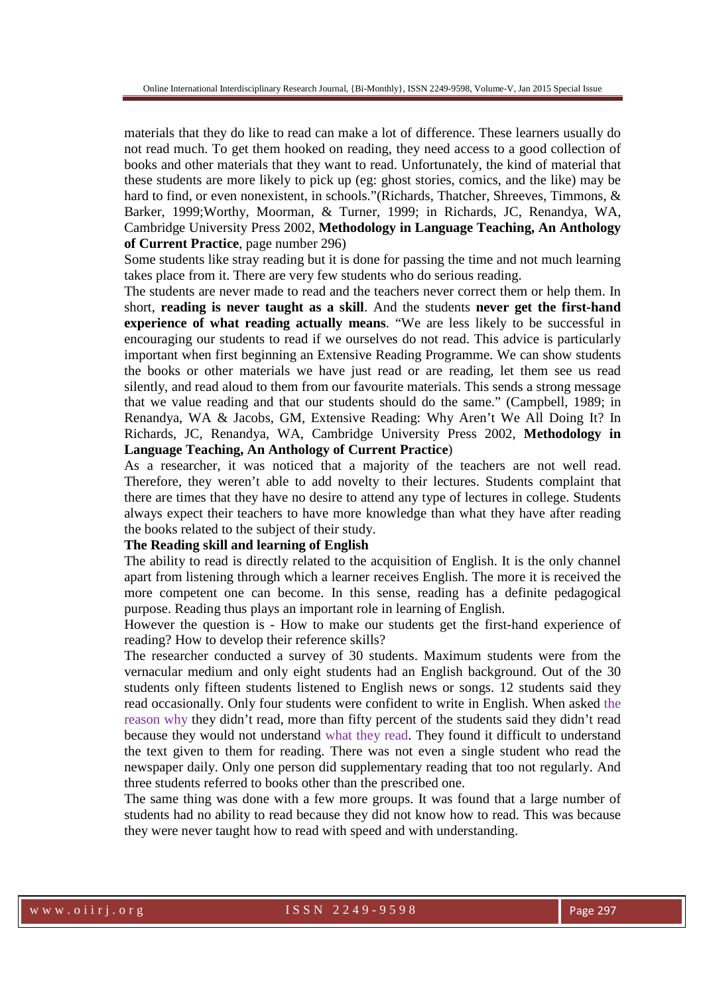materials that they do like to read can make a lot of difference. These learners usually do not read much. To get them hooked on reading, they need access to a good collection of books and other materials that they want to read. Unfortunately, the kind of material that these students are more likely to pick up (eg: ghost stories, comics, and the like) may be hard to find, or even nonexistent, in schools."(Richards, Thatcher, Shreeves, Timmons, & Barker, 1999;Worthy, Moorman, & Turner, 1999; in Richards, JC, Renandya, WA, Cambridge University Press 2002, **Methodology in Language Teaching, An Anthology of Current Practice**, page number 296)

Some students like stray reading but it is done for passing the time and not much learning takes place from it. There are very few students who do serious reading.

The students are never made to read and the teachers never correct them or help them. In short, **reading is never taught as a skill**. And the students **never get the first-hand experience of what reading actually means**. "We are less likely to be successful in encouraging our students to read if we ourselves do not read. This advice is particularly important when first beginning an Extensive Reading Programme. We can show students the books or other materials we have just read or are reading, let them see us read silently, and read aloud to them from our favourite materials. This sends a strong message that we value reading and that our students should do the same." (Campbell, 1989; in Renandya, WA & Jacobs, GM, Extensive Reading: Why Aren't We All Doing It? In Richards, JC, Renandya, WA, Cambridge University Press 2002, **Methodology in Language Teaching, An Anthology of Current Practice**)

As a researcher, it was noticed that a majority of the teachers are not well read. Therefore, they weren't able to add novelty to their lectures. Students complaint that there are times that they have no desire to attend any type of lectures in college. Students always expect their teachers to have more knowledge than what they have after reading the books related to the subject of their study.

### **The Reading skill and learning of English**

The ability to read is directly related to the acquisition of English. It is the only channel apart from listening through which a learner receives English. The more it is received the more competent one can become. In this sense, reading has a definite pedagogical purpose. Reading thus plays an important role in learning of English.

However the question is - How to make our students get the first-hand experience of reading? How to develop their reference skills?

The researcher conducted a survey of 30 students. Maximum students were from the vernacular medium and only eight students had an English background. Out of the 30 students only fifteen students listened to English news or songs. 12 students said they read occasionally. Only four students were confident to write in English. When asked the reason why they didn't read, more than fifty percent of the students said they didn't read because they would not understand what they read. They found it difficult to understand the text given to them for reading. There was not even a single student who read the newspaper daily. Only one person did supplementary reading that too not regularly. And three students referred to books other than the prescribed one.

The same thing was done with a few more groups. It was found that a large number of students had no ability to read because they did not know how to read. This was because they were never taught how to read with speed and with understanding.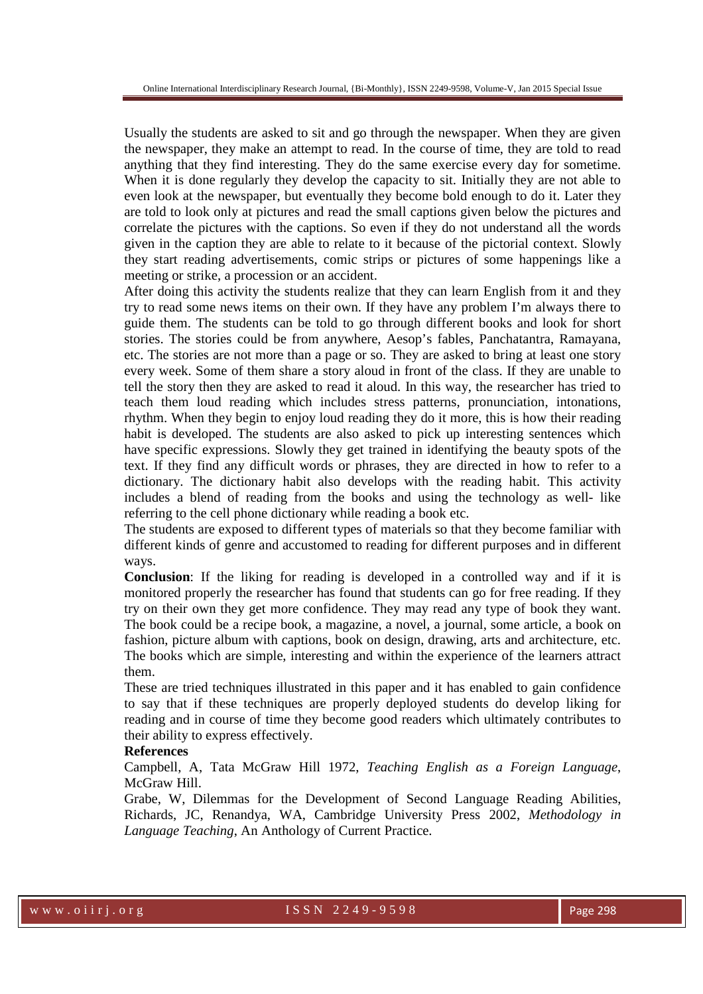Usually the students are asked to sit and go through the newspaper. When they are given the newspaper, they make an attempt to read. In the course of time, they are told to read anything that they find interesting. They do the same exercise every day for sometime. When it is done regularly they develop the capacity to sit. Initially they are not able to even look at the newspaper, but eventually they become bold enough to do it. Later they are told to look only at pictures and read the small captions given below the pictures and correlate the pictures with the captions. So even if they do not understand all the words given in the caption they are able to relate to it because of the pictorial context. Slowly they start reading advertisements, comic strips or pictures of some happenings like a meeting or strike, a procession or an accident.

After doing this activity the students realize that they can learn English from it and they try to read some news items on their own. If they have any problem I'm always there to guide them. The students can be told to go through different books and look for short stories. The stories could be from anywhere, Aesop's fables, Panchatantra, Ramayana, etc. The stories are not more than a page or so. They are asked to bring at least one story every week. Some of them share a story aloud in front of the class. If they are unable to tell the story then they are asked to read it aloud. In this way, the researcher has tried to teach them loud reading which includes stress patterns, pronunciation, intonations, rhythm. When they begin to enjoy loud reading they do it more, this is how their reading habit is developed. The students are also asked to pick up interesting sentences which have specific expressions. Slowly they get trained in identifying the beauty spots of the text. If they find any difficult words or phrases, they are directed in how to refer to a dictionary. The dictionary habit also develops with the reading habit. This activity includes a blend of reading from the books and using the technology as well- like referring to the cell phone dictionary while reading a book etc.

The students are exposed to different types of materials so that they become familiar with different kinds of genre and accustomed to reading for different purposes and in different ways.

**Conclusion**: If the liking for reading is developed in a controlled way and if it is monitored properly the researcher has found that students can go for free reading. If they try on their own they get more confidence. They may read any type of book they want. The book could be a recipe book, a magazine, a novel, a journal, some article, a book on fashion, picture album with captions, book on design, drawing, arts and architecture, etc. The books which are simple, interesting and within the experience of the learners attract them.

These are tried techniques illustrated in this paper and it has enabled to gain confidence to say that if these techniques are properly deployed students do develop liking for reading and in course of time they become good readers which ultimately contributes to their ability to express effectively.

### **References**

Campbell, A, Tata McGraw Hill 1972, *Teaching English as a Foreign Language*, McGraw Hill.

Grabe, W, Dilemmas for the Development of Second Language Reading Abilities, Richards, JC, Renandya, WA, Cambridge University Press 2002, *Methodology in Language Teaching*, An Anthology of Current Practice.